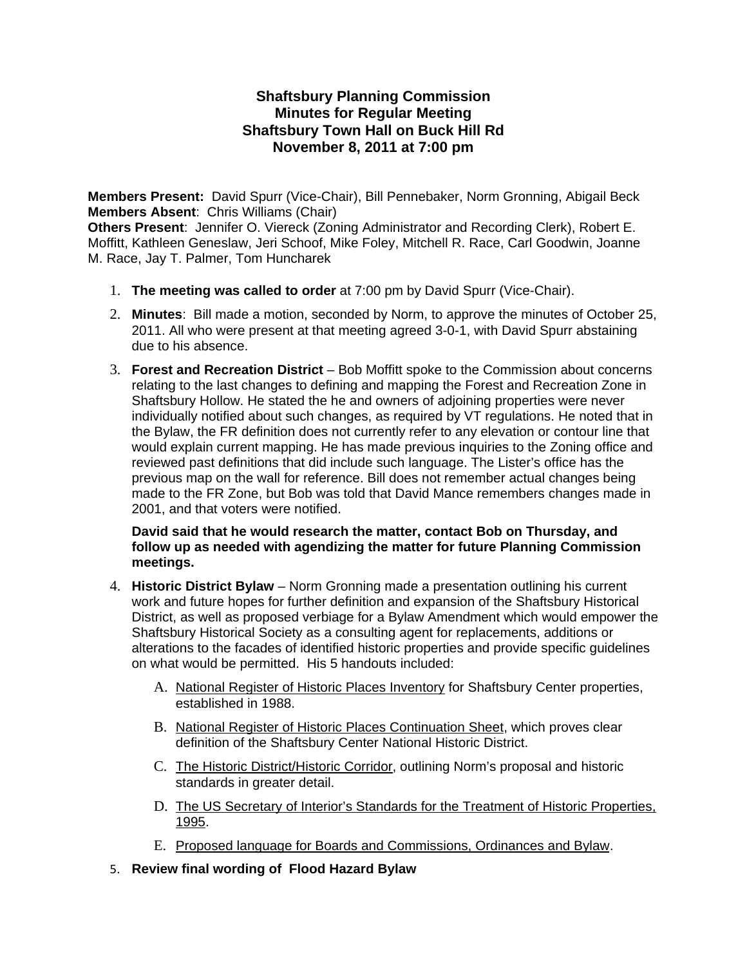# **Shaftsbury Planning Commission Minutes for Regular Meeting Shaftsbury Town Hall on Buck Hill Rd November 8, 2011 at 7:00 pm**

**Members Present:** David Spurr (Vice-Chair), Bill Pennebaker, Norm Gronning, Abigail Beck **Members Absent**: Chris Williams (Chair)

**Others Present**: Jennifer O. Viereck (Zoning Administrator and Recording Clerk), Robert E. Moffitt, Kathleen Geneslaw, Jeri Schoof, Mike Foley, Mitchell R. Race, Carl Goodwin, Joanne M. Race, Jay T. Palmer, Tom Huncharek

- 1. **The meeting was called to order** at 7:00 pm by David Spurr (Vice-Chair).
- 2. **Minutes**: Bill made a motion, seconded by Norm, to approve the minutes of October 25, 2011. All who were present at that meeting agreed 3-0-1, with David Spurr abstaining due to his absence.
- 3. **Forest and Recreation District** Bob Moffitt spoke to the Commission about concerns relating to the last changes to defining and mapping the Forest and Recreation Zone in Shaftsbury Hollow. He stated the he and owners of adjoining properties were never individually notified about such changes, as required by VT regulations. He noted that in the Bylaw, the FR definition does not currently refer to any elevation or contour line that would explain current mapping. He has made previous inquiries to the Zoning office and reviewed past definitions that did include such language. The Lister's office has the previous map on the wall for reference. Bill does not remember actual changes being made to the FR Zone, but Bob was told that David Mance remembers changes made in 2001, and that voters were notified.

#### **David said that he would research the matter, contact Bob on Thursday, and follow up as needed with agendizing the matter for future Planning Commission meetings.**

- 4. **Historic District Bylaw** Norm Gronning made a presentation outlining his current work and future hopes for further definition and expansion of the Shaftsbury Historical District, as well as proposed verbiage for a Bylaw Amendment which would empower the Shaftsbury Historical Society as a consulting agent for replacements, additions or alterations to the facades of identified historic properties and provide specific guidelines on what would be permitted. His 5 handouts included:
	- A. National Register of Historic Places Inventory for Shaftsbury Center properties, established in 1988.
	- B. National Register of Historic Places Continuation Sheet, which proves clear definition of the Shaftsbury Center National Historic District.
	- C. The Historic District/Historic Corridor, outlining Norm's proposal and historic standards in greater detail.
	- D. The US Secretary of Interior's Standards for the Treatment of Historic Properties, 1995.
	- E. Proposed language for Boards and Commissions, Ordinances and Bylaw.
- 5. **Review final wording of Flood Hazard Bylaw**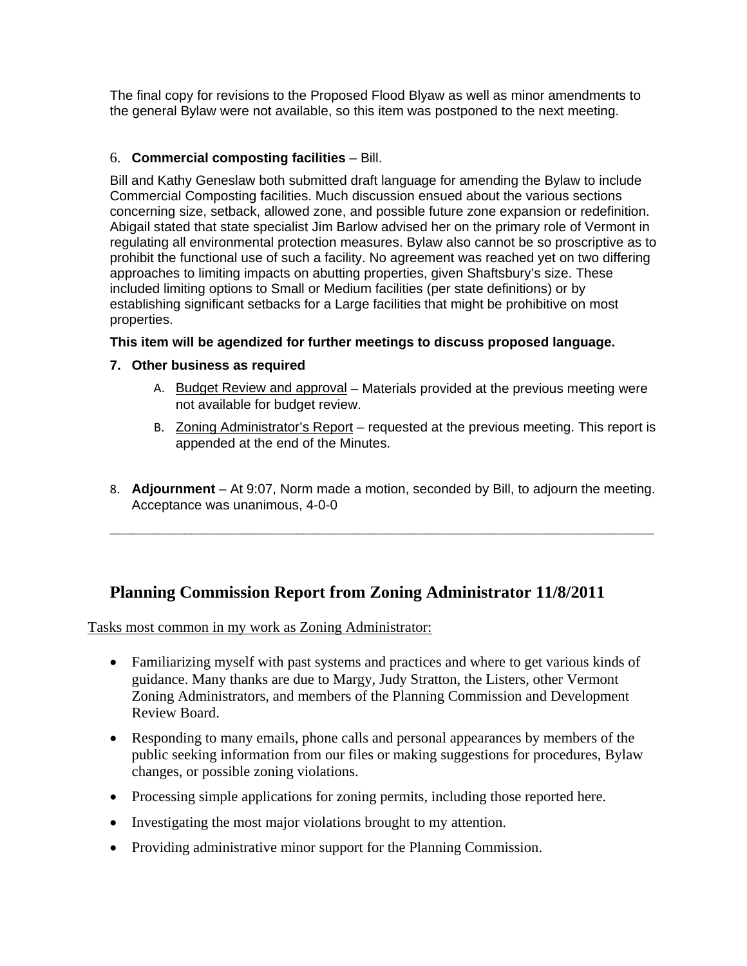The final copy for revisions to the Proposed Flood Blyaw as well as minor amendments to the general Bylaw were not available, so this item was postponed to the next meeting.

# 6. **Commercial composting facilities** – Bill.

Bill and Kathy Geneslaw both submitted draft language for amending the Bylaw to include Commercial Composting facilities. Much discussion ensued about the various sections concerning size, setback, allowed zone, and possible future zone expansion or redefinition. Abigail stated that state specialist Jim Barlow advised her on the primary role of Vermont in regulating all environmental protection measures. Bylaw also cannot be so proscriptive as to prohibit the functional use of such a facility. No agreement was reached yet on two differing approaches to limiting impacts on abutting properties, given Shaftsbury's size. These included limiting options to Small or Medium facilities (per state definitions) or by establishing significant setbacks for a Large facilities that might be prohibitive on most properties.

## **This item will be agendized for further meetings to discuss proposed language.**

## **7. Other business as required**

- A. Budget Review and approval Materials provided at the previous meeting were not available for budget review.
- B. Zoning Administrator's Report requested at the previous meeting. This report is appended at the end of the Minutes.
- 8. **Adjournment** At 9:07, Norm made a motion, seconded by Bill, to adjourn the meeting. Acceptance was unanimous, 4-0-0

**\_\_\_\_\_\_\_\_\_\_\_\_\_\_\_\_\_\_\_\_\_\_\_\_\_\_\_\_\_\_\_\_\_\_\_\_\_\_\_\_\_\_\_\_\_\_\_\_\_\_\_\_\_\_\_\_\_\_\_\_\_\_\_\_\_\_\_\_\_\_\_\_\_**

# **Planning Commission Report from Zoning Administrator 11/8/2011**

Tasks most common in my work as Zoning Administrator:

- Familiarizing myself with past systems and practices and where to get various kinds of guidance. Many thanks are due to Margy, Judy Stratton, the Listers, other Vermont Zoning Administrators, and members of the Planning Commission and Development Review Board.
- Responding to many emails, phone calls and personal appearances by members of the public seeking information from our files or making suggestions for procedures, Bylaw changes, or possible zoning violations.
- Processing simple applications for zoning permits, including those reported here.
- Investigating the most major violations brought to my attention.
- Providing administrative minor support for the Planning Commission.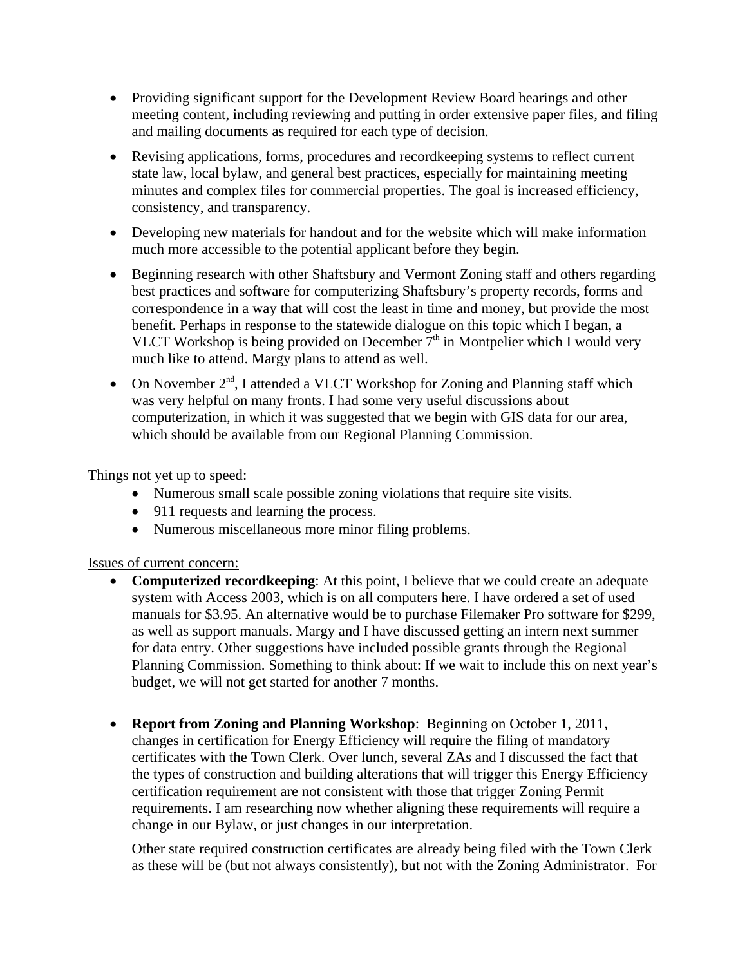- Providing significant support for the Development Review Board hearings and other meeting content, including reviewing and putting in order extensive paper files, and filing and mailing documents as required for each type of decision.
- Revising applications, forms, procedures and record keeping systems to reflect current state law, local bylaw, and general best practices, especially for maintaining meeting minutes and complex files for commercial properties. The goal is increased efficiency, consistency, and transparency.
- Developing new materials for handout and for the website which will make information much more accessible to the potential applicant before they begin.
- Beginning research with other Shaftsbury and Vermont Zoning staff and others regarding best practices and software for computerizing Shaftsbury's property records, forms and correspondence in a way that will cost the least in time and money, but provide the most benefit. Perhaps in response to the statewide dialogue on this topic which I began, a VLCT Workshop is being provided on December  $7<sup>th</sup>$  in Montpelier which I would very much like to attend. Margy plans to attend as well.
- On November  $2^{nd}$ , I attended a VLCT Workshop for Zoning and Planning staff which was very helpful on many fronts. I had some very useful discussions about computerization, in which it was suggested that we begin with GIS data for our area, which should be available from our Regional Planning Commission.

# Things not yet up to speed:

- Numerous small scale possible zoning violations that require site visits.
- 911 requests and learning the process.
- Numerous miscellaneous more minor filing problems.

#### Issues of current concern:

- **Computerized recordkeeping**: At this point, I believe that we could create an adequate system with Access 2003, which is on all computers here. I have ordered a set of used manuals for \$3.95. An alternative would be to purchase Filemaker Pro software for \$299, as well as support manuals. Margy and I have discussed getting an intern next summer for data entry. Other suggestions have included possible grants through the Regional Planning Commission. Something to think about: If we wait to include this on next year's budget, we will not get started for another 7 months.
- **Report from Zoning and Planning Workshop**: Beginning on October 1, 2011, changes in certification for Energy Efficiency will require the filing of mandatory certificates with the Town Clerk. Over lunch, several ZAs and I discussed the fact that the types of construction and building alterations that will trigger this Energy Efficiency certification requirement are not consistent with those that trigger Zoning Permit requirements. I am researching now whether aligning these requirements will require a change in our Bylaw, or just changes in our interpretation.

Other state required construction certificates are already being filed with the Town Clerk as these will be (but not always consistently), but not with the Zoning Administrator. For